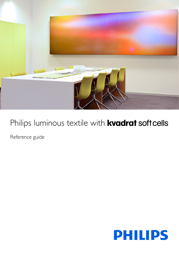

# Philips luminous textile with **kvadrat soft cells**

Reference guide

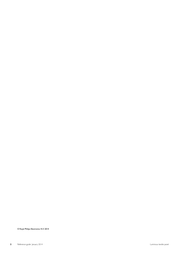© Royal Philips Electronics N.V. 2014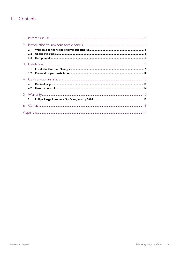### I. Contents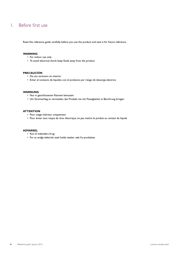### <span id="page-3-0"></span>1. Before first use

Read this reference guide carefully before you use the product and save it for future reference.

#### **WARNING**

- For indoor use only
- To avoid electrical shock keep fluids away from the product

#### **PRECAUCIÓN**

- De uso exclusivo en interior
- Evitar el contacto de liquidos con el producto por riesgo de descarga electrico

#### **WARNUNG**

- Nur in geschlossenen Räumen benutzen
- Um Stromschlag zu vermeiden, das Produkt nie mit Flussigkeiten in Beruhrung bringen

#### **ATTENTION**

- Pour usage intérieur uniquement
- Pour éviter tout risque de choc électrique, ne pas mettre le produit au contact de liquids

#### **ADVARSEL**

- Kun til indendørs brug
- For at undgå elektrisk stød holde væsker væk fra produktet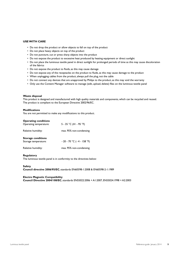#### **USE WITH CARE**

- Do not drop the product or allow objects to fall on top of the product
- Do not place heavy objects on top of the product
- Do not puncture, cut or press sharp objects into the product
- Do not expose the product to excessive heat produced by heating equipment or direct sunlight
- Do not place the luminous textile panel in direct sunlight for prolonged periods of time as this may cause discoloration of the fabrics
- Do not expose the product to fluids, as this may cause damage
- Do not expose any of the receptacles on the product to fluids, as this may cause damage to the product
- When unplugging cables from the product, always pull the plug, not the cable
- Do not connect any devices that are unapproved by Philips to the product, as this may void the warranty
- Only use the Content Manager software to manage (edit, upload, delete) files on the luminous textile panel

#### **Waste disposal**

This product is designed and manufactured with high quality materials and components, which can be recycled and reused. The product is compliant to the European Directive 2002/96/EC.

#### **Modifications**

You are not permitted to make any modifications to this product.

#### **Operating conditions**

| $\bullet$ per acrise correctors<br>Operating temperature: | 5 - 35 °C (41 - 95 °F)         |
|-----------------------------------------------------------|--------------------------------|
| Relative humidity:                                        | max. 95% non-condensing        |
| <b>Storage conditions</b><br>Storage temperature:         | $-20 - 70$ °C ( $-4 - 158$ °F) |
| Relative humidity:                                        | max. 95% non-condensing        |

#### **Regulatory**

The luminous textile panel is in conformity to the directives below:

**Safety**

**Council directive 2006/95/EC**, standards EN60598-1:2008 & EN60598-2-1:1989

#### **Electro Magnetic Compatibility**

**Council Directive 2004/108/EC**, standards EN55022:2006 + A1:2007, EN55024:1998 + A2:2003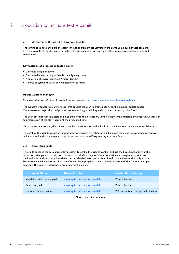### <span id="page-5-0"></span>2. Introduction to luminous textile panels

#### **2.1. Welcome to the world of luminous textiles**

The luminous textile panels are the latest innovation from Philips Lighting in the Large Luminous Surfaces segment. LTPs are capable of transforming any lobby, retail environment, hotel or open office space into a customer-oriented environment.

#### **Key features of a luminous textile panel**

- Unlimited design freedom
- Customizable visuals: adjustable dynamic lighting scenes
- A selection of several approved Kvadrat textiles
- A modular system that can be connected to the mains

#### **About Content Manager**

Download the latest Content Manager from our website: *<http://www.largeluminoussurfaces.com/software>*

The Content Manager is a software tool that enables the user to create a story on the luminous textile panels. The software manages the configuration, content editing, scheduling and conversion to compatible formats.

The user can import media, scale and map them onto the installation, combine them with a timeline and program a scheduler so presentation of the story begins at the predefined time.

Once the story is created, the software handles the conversion and uploads it to the luminous textile panels via Ethernet.

This enables the user to create any mood, story or amazing animation on the luminous textile panels without any creative limitations and without a steep learning curve thanks to the self-explanatory user interface.

#### **2.2. About this guide**

This guide contains the basic elements necessary to enable the user to control and use the basic functionality of the luminous textile panels for daily use. For more detailed information about installation and programming refer to the installation and cleaning guide which contains detailed information about installation and network configuration. For more detailed information about the Content Manager please refer to the help section of the Content Manager program. The following documents are also available online:

| Document Name                   | <b>Online Location</b>             | Within the packaging $^{\dagger}$   |
|---------------------------------|------------------------------------|-------------------------------------|
| Installation and cleaning guide | www.largeluminoussurfaces.com/pdfs | <b>Printed booklet</b>              |
| Reference guide                 | www.largeluminoussurfaces.com/pdfs | <b>Printed booklet</b>              |
| Content Manager manual          | www.largeluminoussurfaces.com/pdfs | PDF in Content Manager help section |

*Table 1: Available documents.*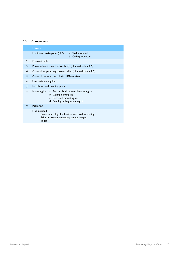#### <span id="page-6-0"></span>**2.3. Components**

|               | <b>Name:</b>                                                                                                                                     |
|---------------|--------------------------------------------------------------------------------------------------------------------------------------------------|
| T             | Luminous textile panel (LTP)<br>a. Wall mounted<br>b. Ceiling mounted                                                                            |
| $\mathcal{P}$ | Ethernet cable                                                                                                                                   |
| 3             | Power cable (for each driver box) (Not available in US)                                                                                          |
| 4             | Optional loop-through power cable (Not available in US)                                                                                          |
| 5             | Optional remote control with USB receiver                                                                                                        |
| 6             | User reference guide                                                                                                                             |
| 7             | Installation and cleaning guide                                                                                                                  |
| 8             | a. Portrait/landscape wall mounting kit<br>Mounting kit<br>b. Ceiling ounting kit<br>c. Recessed mounting kit<br>d. Pending ceiling mounting kit |
| 9             | Packaging                                                                                                                                        |
|               | Not included:<br>Screws and plugs for fixation onto wall or ceiling<br>Ethernet router depending on your region<br>Tools                         |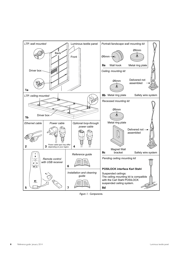

*Figure 1: Components.*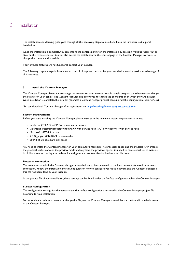### <span id="page-8-0"></span>3. Installation

The installation and cleaning guide goes through all the necessary steps to install and finish the luminous textile panel installation.

Once the installation is complete, you can change the content playing on the installation by pressing Previous, Next, Play or Stop on the remote control. You can also access the installation via the control page of the Content Manager software to change the content and schedule.

If any of these features are not functional, contact your installer.

The following chapters explain how you can control, change and personalize your installation to take maximum advantage of all its features.

#### **3.1. Install the Content Manager**

The Content Manager allows you to change the content on your luminous textile panels, program the scheduler and change the settings on your panels. The Content Manager also allows you to change the configuration in which they are installed. Once installation is complete, the installer generates a Content Manager project containing all the configuration settings (\*.lcp).

You can download Content Manager after registration on: *<http://www.largeluminoussurfaces.com/software>*

#### **System requirements**

Before you start installing the Content Manager, please make sure the minimum system requirements are met:

- Intel core (TM)2 Duo CPU or equivalent processor
- Operating system: Microsoft Windows XP with Service Pack (SP2) or Windows 7 with Service Pack 1
- Microsoft .NET 4.5 or later
- 2.0 Gigabytes (GB) RAM recommended
- 80 MB of available hard disk space

You need to install the Content Manager on your computer's hard disk. The processor speed and the available RAM impact the graphical performance in the preview mode and may limit the preview's speed. You need to have several GB of available hard disk space for storing your video clips and generated content files for luminous textile panels.

#### **Network connection**

The computer on which the Content Manager is installed has to be connected to the local network via wired or wireless connection. Follow the installation and cleaning guide on how to configure your local network and the Content Manager if this has not been done by your installer.

In the project file of your installation, these settings can be found under the Surface configurator tab in the Content Manager.

#### **Surface configuration**

The configuration settings for the network and the surface configuration are stored in the Content Manager project file belonging to your installation.

For more details on how to create or change this file, see the Content Manager manual that can be found in the help menu of the Content Manager.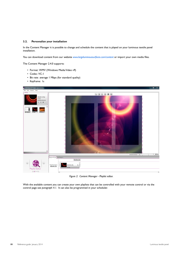#### <span id="page-9-0"></span>**3.2. Personalize your installation**

In the Content Manager it is possible to change and schedule the content that is played on your luminous textile panel installation.

You can download content from our website *www.largeluminoussurfaces.com/content* or import your own media files.

The Content Manager 2.4.0 supports:

- Format: WMV (Windows Media Video v9)
- Codec: VC-1
- Bit rate: average 1 Mbps (for standard quality)
- Keyframe: 1s



*Figure 2: Content Manager - Playlist editor.*

With the available content you can create your own playlists that can be controlled with your remote control or via the control page see *[paragraph 4.1.](#page-11-1)* It can also be programmed in your scheduler.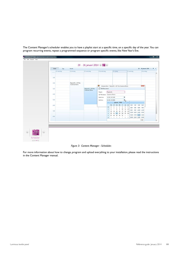| Week                | 20 - 26 januari 2014 · ■ ><br>Month<br>Day |                                                 |                   |                                               |                                                       |                    |                                  |    |                              |                |             |                                                  |            |  |
|---------------------|--------------------------------------------|-------------------------------------------------|-------------------|-----------------------------------------------|-------------------------------------------------------|--------------------|----------------------------------|----|------------------------------|----------------|-------------|--------------------------------------------------|------------|--|
| 20 maandag<br>ARIVE | 21 dinsdag                                 | 22 woensdag                                     | 23 donderdag      |                                               |                                                       | 24 vrijdag         |                                  |    |                              |                | 25 zaterdag |                                                  | 26 zondag  |  |
|                     |                                            |                                                 |                   |                                               |                                                       |                    |                                  |    |                              |                |             |                                                  |            |  |
| 1.00                |                                            |                                                 |                   |                                               |                                                       |                    |                                  |    |                              |                |             |                                                  |            |  |
| 2:00                | Playlist 01 - LCF File:                    |                                                 |                   |                                               |                                                       |                    |                                  |    |                              |                |             |                                                  |            |  |
|                     | Customer Demo                              |                                                 | $\Box$            |                                               | Schedule Item - Playlist 01 - LCF File: Customer Demo |                    |                                  |    |                              |                |             |                                                  | $m\bar{c}$ |  |
| 3:00                |                                            | Playfist 01 - LCF File:<br><b>Customer Demo</b> | C Edit Recurrence |                                               |                                                       |                    |                                  |    |                              |                |             |                                                  |            |  |
|                     |                                            |                                                 | Playfist          | Playfist 01                                   | ٠                                                     |                    |                                  |    |                              |                |             |                                                  |            |  |
| 4:00                |                                            |                                                 | Start time        | LCF File Name Customer Demo<br>22-01-14 15:00 |                                                       |                    |                                  |    |                              |                |             |                                                  |            |  |
| 5:00                |                                            |                                                 | End time          |                                               | 22-01-14 18:00                                        | ٠<br>$\mathcal{L}$ |                                  |    |                              |                |             |                                                  |            |  |
|                     |                                            |                                                 |                   | ×                                             |                                                       |                    | januari - 2014                   |    |                              | ×              |             |                                                  |            |  |
| 600                 |                                            |                                                 |                   |                                               | di<br>ma                                              |                    | wo do                            | VF |                              | 23 20          | 0.00        | 1:00 2:00 3:00                                   |            |  |
|                     |                                            |                                                 |                   | 53<br>$\overline{2}$                          | 30<br>31<br>6                                         | 1<br>8             | $\overline{\mathbf{z}}$<br>9     | 3  | $\ddot{ }$<br>$10$ $11$ $12$ | $\mathbf{5}$   |             | 4:00 5:00 6:00 7:00                              |            |  |
| 7:00                |                                            |                                                 |                   | $\overline{\phantom{a}}$                      | 13                                                    |                    | 14    15    16    17    18    19 |    |                              |                |             | 8.00 9.00 10.00 11.00<br>12:00 13:00 14:00 15:00 |            |  |
|                     |                                            |                                                 |                   | $\Delta$                                      | 20                                                    |                    | 21 22 23 24 25 26                |    |                              |                |             | 16:00 17:00 18:00 19:00                          |            |  |
| 8.00                |                                            |                                                 |                   | $\mathsf{s}$<br>6                             | 27<br>$\mathbf{3}$<br>$\sim$                          | $-5$               | 28 29 30 31 1<br>$-6$            |    | 789                          | $\overline{z}$ |             | 20:00 21:00 22:00 23:00                          |            |  |
|                     |                                            |                                                 |                   |                                               |                                                       |                    |                                  |    |                              |                |             |                                                  | Close      |  |

The Content Manager's scheduler enables you to have a playlist start at a specific time, on a specific day of the year. You can program recurring events, repeat a programmed sequence or program specific events, like New Year's Eve.

*Figure 3: Content Manager - Scheduler.*

For more information about how to change, program and upload everything to your installation, please read the instructions in the Content Manager manual.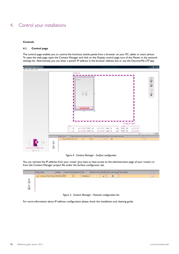### <span id="page-11-0"></span>4. Control your installations

#### **Controls**

#### <span id="page-11-1"></span>**4.1. Control page**

The control page enables you to control the luminous textile panels from a browser on your PC, tablet or smart phone. To open the web page, open the Content Manager and click on the Display control page icon of the Master in the network settings list. Alternatively, you can enter a panel's IP address in the browser address line or use the DiscoverMe LTP app.



*Figure 4: Content Manager - Surface configurator.*

You can retrieve the IP address from your router (you have to have access to the administration page of your router) or from the Content Manager project file under the Surface configurator tab.

|  | Address     |                                       |            |                               |   |           |                                                        |  |
|--|-------------|---------------------------------------|------------|-------------------------------|---|-----------|--------------------------------------------------------|--|
|  |             | 21                                    | Standalone |                               | Φ | $\bullet$ | $\times$                                               |  |
|  |             |                                       |            |                               |   |           |                                                        |  |
|  |             |                                       |            |                               |   |           |                                                        |  |
|  |             |                                       |            |                               |   |           |                                                        |  |
|  |             |                                       |            |                               |   |           |                                                        |  |
|  | Status Name | Luminous Textile Demo 192.168.2.39 80 |            | Control Port Upload Port Type |   |           | Remote Control Identify Open control page Panel update |  |

*Figure 5: Content Manager - Network configuration list.*

For more information about IP address configuration please check the installation and cleaning guide.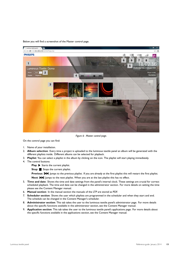#### Below you will find a screenshot of the Master control page.



*Figure 6: Master control page.*

On the control page you can find:

- 1. Name of your installation.
- 2. **Album selection**: Every time a project is uploaded to the luminous textile panel an album will be generated with the different playlists inside. Different albums can be selected for playback.
- 3. **Playlist**: You can select a playlist in the album by clicking on the icon. The playlist will start playing immediately.
- 4. The control buttons:

**Play:** Starts the current playlist.

**Stop:** Stops the current playlist.

**Previous:**  $\blacktriangleleft$  lumps to the previous playlist. If you are already at the first playlist this will restart the first playlist.

Next:  $\blacktriangleright$  | umps to the next playlist. When you are at the last playlist this has no effect.

- 5. **Time and date**: Shows the time and date settings from the panel's internal clock. These settings are crucial for correct scheduled playback. The time and date can be changed in the administrator section. For more details on setting the time please see the Content Manager manual.
- 6. **Manual section**: In the manual section the manuals of the LTP are stored as PDF.
- 7. **Scheduler section**: Shows the user which playlists are programmed in the scheduler and when they start and end. The schedule can be changed in the Content Manager's scheduler.
- 8. **Administrator section**: This tab takes the user to the luminous textile panel's administrator page. For more details about the specific functions available in the administrator section, see the Content Manager manual.
- 9. **Application section**: This tab takes the user to the luminous textile panel's applications page. For more details about the specific functions available in the applications section, see the Content Manager manual.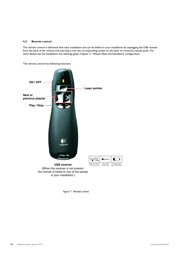#### <span id="page-13-0"></span>**4.2. Remote control**

The remote control is delivered with each installation and can be linked to your installation by unplugging the USB receiver from the back of the remote and inserting it into the corresponding socket on the back of a luminous textile panel. For more details see the Installation and cleaning guide, Chapter 3: "Master, Slave and Standalone configuration".

The remote control has following functions:



the remote is linked to one of the panels in your installation.)

*Figure 7: Remote control.*

Low battery alert Alerte batterie faible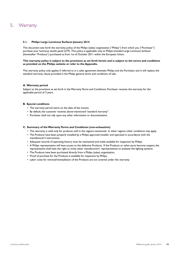## <span id="page-14-0"></span>5. Warranty

#### **5.1. Philips Large Luminous Surfaces January 2014**

This document sets forth the warranty policy of the Philips (sales) organization ("Philips") from which you ("Purchaser") purchase your luminous textile panel (LTP). This policy is applicable only to Philips branded Large Luminous Surfaces (hereinafter "Products") purchased as from 1st of October 2011 within the European Union.

#### **This warranty policy is subject to the provisions as set forth herein and is subject to the terms and conditions as provided on the Philips website or refer to the Appendix.**

This warranty policy only applies if referred to in a sales agreement between Philips and the Purchaser and it will replace the standard warranty clause provided in the Philips general terms and conditions of sale.

#### **A. Warranty period**

Subject to the provisions as set forth in the Warranty Terms and Conditions, Purchaser receives the warranty for the applicable period of 3 years.

#### **B. Special conditions**

- The warranty period starts on the date of last invoice.
- By default, the customer receives above-mentioned "standard warranty".
- Purchaser shall not rely upon any other information or documentation.

#### **C. Summary of the Warranty Terms and Conditions (non-exhaustive)**

- This warranty is valid only for products sold in the regions mentioned. In other regions, other conditions may apply.
- The Products have been properly installed by a Philips approved installer and operated in accordance with the manufacturer's instructions.
- Adequate records of operating history must be maintained and made available for inspection by Philips.
- A Philips representative will have access to the defective Products. If the Products or other parts become suspect, the representative shall have the right to invite other manufacturers' representatives to evaluate the lighting systems.
- The Products have been purchased directly from a Philips (sales) organization.
- Proof of purchase for the Products is available for inspection by Philips.
- Labor costs for removal/reinstallation of the Products are not covered under this warranty.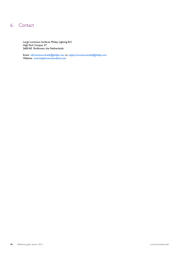### <span id="page-15-0"></span>6. Contact

Large Luminous Surfaces, Philips Lighting B.V. High Tech Campus 27 5600 AE Eindhoven, the Netherlands

Email: *[info.luminous-textile@philips.com](mailto:info.luminous-textile%40philips.com?subject=)* or *[support.luminous-textile@philips.com](mailto:support.luminous-textile%40philips.com?subject=)* Website: *[www.largeluminoussurfaces.com](http://www.largeluminoussurfaces.com)*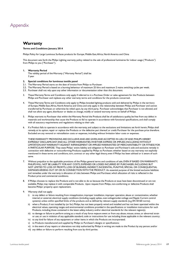### <span id="page-16-0"></span>Appendix

### **Warranty**

#### **Terms and Conditions January 2014**

Philips Policy for Large Luminous Surfaces products for Europe, Middle East, Africa, North America and China

This document sets forth the Philips Lighting warranty policy related to the sale of professional luminaires for indoor usage ("Products") from Philips to you ("Purchaser").

#### **1. Warranty Period**

The validity period of the Warranty ("Warranty Period") shall be: 3 year

#### **2. Special conditions for luminous textile panel**

- 2.1. The Warranty Period starts on the date of invoice from Philips to Purchaser.
- 2.2. The Warranty Period is based on a burning behaviour of maximum 25 khrs and maximum 2 mains switching cycles per week.
- 2.3. Purchaser shall not rely upon any other information or documentation other than this document.
- 3. These Warranty Terms and Conditions only apply if referred to in a Purchase Order or sales agreement for the Products between Philips and Purchaser and replaces any other warranty terms and conditions for the products concerned.
- 4. These Warranty Terms and Conditions only apply to Philips branded lighting products sold and delivered by Philips in the territory of Europe, Middle East, Africa, North America and China and only apply in the relationship between Philips and Purchaser and cannot transferred by Purchaser, or otherwise be relied upon, by any third party. Purchaser acknowledges that Purchaser is not allowed, and shall not allow any agent, distributor or dealer, to change, modify or extend warranty terms on behalf of Philips.
- 5. Philips warrants to Purchaser that within the Warranty Period the Products shall be of satisfactory quality, be free from any defect in materials and workmanship that cause the Products to fail to operate in accordance with functional specifications, and shall comply with all statutory requirements and regulations relating to their sale.
- 6. If a Product fails to operate in accordance with the warranty, and subject to the exclusions and limitations set forth herein, Philips shall remedy, at its option, repair or replace the Products or the defective part thereof, or credit Purchaser for the purchase price therefore. Excluded are any removal or reinstallation costs or expenses, including without limitation labor costs or expenses.

THESE WARRANTY PROVISIONS ARE EXCLUSIVE AND ARE GIVEN AND ACCEPTED IN LIEU OF AND PHILIPS HEREBY EXPRESSLY DISCLAIMS ANY AND ALL OTHER WARRANTIES, WHETHER EXPRESS OR IMPLIED, INCLUDING WITHOUT LIMITATION ANY WARRANTY AGAINST INFRINGEMENT OR IMPLIED WARRANTIES OF MERCHANTABILITY OR FITNESS FOR A PARTICULAR PURPOSE. They state Philips' entire liability and obligation to Purchaser and Purchaser's sole and exclusive remedy in connection with defective or nonconforming Products supplied by Philips to Purchaser, whether based on any warranty not explicitly mentioned in these terms and conditions, tort, contract or any other legal theory, even if Philips has been advised or is aware of such same.

- 7. Without prejudice to the applicable provisions of the Philips general terms and conditions of sale, EVEN IF BASED ON WARRANTY, PHILIPS WILL NOT BE LIABILITY FOR ANY COSTS, EXPENSES OR LOSSES INCURRED BY PURCHASER, INCLUDING BUT NOT LIMITED TO LOSS OF PROFITS, LOSS OF BUSINESS, INDIRECT, INCIDENTAL, PUNITIVE, SPECIAL OR CONSEQUENTIAL DAMAGES ARISING OUT OF OR IN CONNECTION WITH THE PRODUCT. An essential purpose of the limited exclusive liabilities and remedies under the warranty is allocation of risks between Philips and Purchaser, which allocation of risks is reflected in the Product price and commercial conditions.
- 8. If Philips chooses to replace the Products and is not able to do so because the Products at issue have been discontinued or are not available, Philips may replace it with comparable Products. Upon request from Philips, non-conforming or defective Products shall become Philips' property upon replacement.
- 9. Warranty shall not apply:
	- i) to any defect or failure resulting from misapplication, improper installation, improper operation, abuse or contamination, whether internal or external, electrical supply conditions (including supply spikes, over-voltage/under-voltage and Ripple Current control systems) unless within specified limits of the products and as defined by relevant supply standards (e.g. EN 50160 norms).
	- ii) when a Product, if not installed by (or for) Philips, has not been properly wired and installed and has not been operated within the electrical values, operating ranges and environmental conditions provided in the specifications or installation instructions for such Products, including those contained in the latest safety, industry and/or electrical standards for the relevant region(s).
	- iii) to damage or failure to perform arising as a result of any force majeure event or from any abuse, misuse, stress, or abnormal strain or use, or use in violation of any applicable standard, code or instructions for use including those applicable in the relevant country;
	- iv) to any kind for failure of any equipment or other items in which the Products are incorporated;
	- v) to Products manufactured and supplied by Philips to Purchaser's designs or specifications;
	- vi) in the event of any repairs or alterations not duly authorized by Philips in writing are made to the Product by any person; and/or
	- vii) any defect or failure to perform resulting from acts by third parties.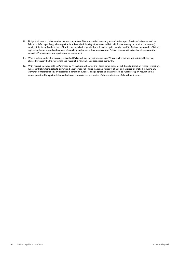- 10. Philips shall have no liability under this warranty unless Philips is notified in writing within 30 days upon Purchaser's discovery of the failure or defect specifying, where applicable, at least the following information (additional information may be required on request): details of the failed Product; date of invoice and installation; detailed problem description, number and % of failures, date-code of failure; application, hours burned and number of switching cycles; and unless, upon request, Philips' representatives is allowed access to the defective Product, system or application for assessment.
- 11. Where a claim under this warranty is justified Philips will pay for freight expenses. Where such a claim is not justified, Philips may charge Purchaser the freight, testing and reasonable handling costs associated therewith.
- 12. With respect to goods sold to Purchaser by Philips but not bearing the Philips name, brand or sub-brands (including, without limitation, lamps, control systems, ballasts, drivers and other products), Philips makes no warranty of any kind, express or implied, including any warranty of merchantability or fitness for a particular purpose. Philips agrees to make available to Purchaser upon request to the extent permitted by applicable law and relevant contracts, the warranties of the manufacturer of the relevant goods.